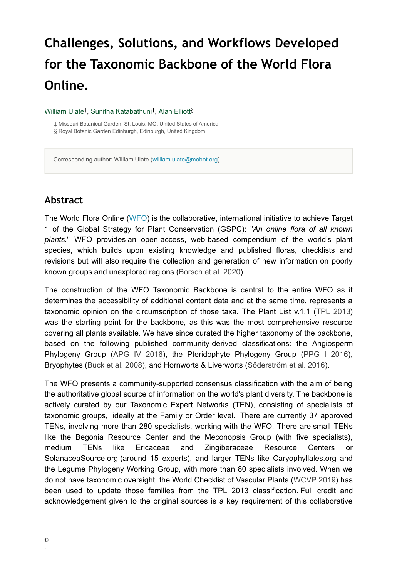# **Challenges, Solutions, and Workflows Developed for the Taxonomic Backbone of the World Flora Online.**

#### William Ulate<sup>‡</sup>, Sunitha Katabathuni<sup>‡</sup>, Alan Elliott<sup>§</sup>

‡ Missouri Botanical Garden, St. Louis, MO, United States of America § Royal Botanic Garden Edinburgh, Edinburgh, United Kingdom

Corresponding author: William Ulate ([william.ulate@mobot.org](mailto:william.ulate@mobot.org))

#### **Abstract**

The World Flora Online [\(WFO](http://www.worldfloraonline.org/)) is the collaborative, international initiative to achieve Target 1 of the Global Strategy for Plant Conservation (GSPC): "*An online flora of all known plants.*" WFO provides an open-access, web-based compendium of the world's plant species, which builds upon existing knowledge and published floras, checklists and revisions but will also require the collection and generation of new information on poorly known groups and unexplored regions ([Borsch et al. 2020](#page-2-0)).

The construction of the WFO Taxonomic Backbone is central to the entire WFO as it determines the accessibility of additional content data and at the same time, represents a taxonomic opinion on the circumscription of those taxa. The Plant List v.1.1 [\(TPL 2013](#page-2-1)) was the starting point for the backbone, as this was the most comprehensive resource covering all plants available. We have since curated the higher taxonomy of the backbone, based on the following published community-derived classifications: the Angiosperm Phylogeny Group [\(APG IV 2016\)](#page-2-2), the Pteridophyte Phylogeny Group [\(PPG I 2016\)](#page-2-3), Bryophytes ([Buck et al. 2008\)](#page-2-4), and Hornworts & Liverworts ([Söderström et al. 2016\)](#page-2-5).

The WFO presents a community-supported consensus classification with the aim of being the authoritative global source of information on the world's plant diversity. The backbone is actively curated by our Taxonomic Expert Networks (TEN), consisting of specialists of taxonomic groups, ideally at the Family or Order level. There are currently 37 approved TENs, involving more than 280 specialists, working with the WFO. There are small TENs like the Begonia Resource Center and the Meconopsis Group (with five specialists), medium TENs like Ericaceae and Zingiberaceae Resource Centers or SolanaceaSource.org (around 15 experts), and larger TENs like Caryophyllales.org and the Legume Phylogeny Working Group, with more than 80 specialists involved. When we do not have taxonomic oversight, the World Checklist of Vascular Plants ([WCVP 2019](#page-3-0)) has been used to update those families from the TPL 2013 classification. Full credit and acknowledgement given to the original sources is a key requirement of this collaborative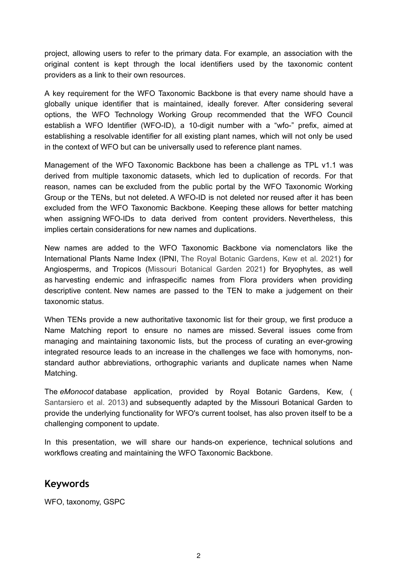project, allowing users to refer to the primary data. For example, an association with the original content is kept through the local identifiers used by the taxonomic content providers as a link to their own resources.

A key requirement for the WFO Taxonomic Backbone is that every name should have a globally unique identifier that is maintained, ideally forever. After considering several options, the WFO Technology Working Group recommended that the WFO Council establish a WFO Identifier (WFO-ID), a 10-digit number with a "wfo-" prefix, aimed at establishing a resolvable identifier for all existing plant names, which will not only be used in the context of WFO but can be universally used to reference plant names.

Management of the WFO Taxonomic Backbone has been a challenge as TPL v1.1 was derived from multiple taxonomic datasets, which led to duplication of records. For that reason, names can be excluded from the public portal by the WFO Taxonomic Working Group or the TENs, but not deleted. A WFO-ID is not deleted nor reused after it has been excluded from the WFO Taxonomic Backbone. Keeping these allows for better matching when assigning WFO-IDs to data derived from content providers. Nevertheless, this implies certain considerations for new names and duplications.

New names are added to the WFO Taxonomic Backbone via nomenclators like the International Plants Name Index (IPNI, [The Royal Botanic Gardens, Kew et al. 2021](#page-2-6)) for Angiosperms, and Tropicos [\(Missouri Botanical Garden 2021\)](#page-2-7) for Bryophytes, as well as harvesting endemic and infraspecific names from Flora providers when providing descriptive content. New names are passed to the TEN to make a judgement on their taxonomic status.

When TENs provide a new authoritative taxonomic list for their group, we first produce a Name Matching report to ensure no names are missed. Several issues come from managing and maintaining taxonomic lists, but the process of curating an ever-growing integrated resource leads to an increase in the challenges we face with homonyms, nonstandard author abbreviations, orthographic variants and duplicate names when Name Matching.

The *eMonocot* database application, provided by Royal Botanic Gardens, Kew, ( [Santarsiero et al. 2013](#page-2-8)) and subsequently adapted by the Missouri Botanical Garden to provide the underlying functionality for WFO's current toolset, has also proven itself to be a challenging component to update.

In this presentation, we will share our hands-on experience, technical solutions and workflows creating and maintaining the WFO Taxonomic Backbone.

## **Keywords**

WFO, taxonomy, GSPC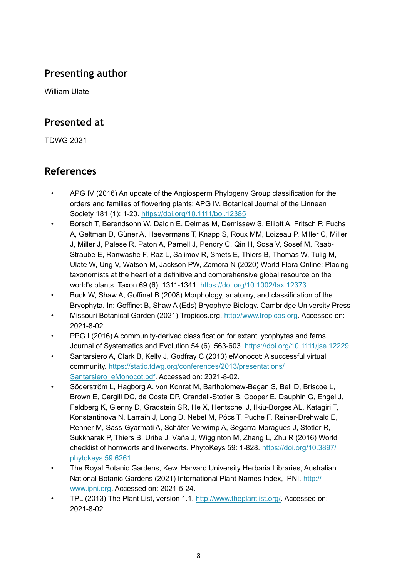## **Presenting author**

William Ulate

#### **Presented at**

TDWG 2021

## **References**

- <span id="page-2-2"></span>• APG IV (2016) An update of the Angiosperm Phylogeny Group classification for the orders and families of flowering plants: APG IV. Botanical Journal of the Linnean Society 181 (1): 1‑20. <https://doi.org/10.1111/boj.12385>
- <span id="page-2-0"></span>• Borsch T, Berendsohn W, Dalcin E, Delmas M, Demissew S, Elliott A, Fritsch P, Fuchs A, Geltman D, Güner A, Haevermans T, Knapp S, Roux MM, Loizeau P, Miller C, Miller J, Miller J, Palese R, Paton A, Parnell J, Pendry C, Qin H, Sosa V, Sosef M, Raab‐ Straube E, Ranwashe F, Raz L, Salimov R, Smets E, Thiers B, Thomas W, Tulig M, Ulate W, Ung V, Watson M, Jackson PW, Zamora N (2020) World Flora Online: Placing taxonomists at the heart of a definitive and comprehensive global resource on the world's plants. Taxon 69 (6): 1311‑1341. <https://doi.org/10.1002/tax.12373>
- <span id="page-2-4"></span>• Buck W, Shaw A, Goffinet B (2008) Morphology, anatomy, and classification of the Bryophyta. In: Goffinet B, Shaw A (Eds) Bryophyte Biology. Cambridge University Press
- <span id="page-2-7"></span>• Missouri Botanical Garden (2021) Tropicos.org. <http://www.tropicos.org>. Accessed on: 2021-8-02.
- <span id="page-2-3"></span>• PPG I (2016) A community-derived classification for extant lycophytes and ferns. Journal of Systematics and Evolution 54 (6): 563‑603.<https://doi.org/10.1111/jse.12229>
- <span id="page-2-8"></span>• Santarsiero A, Clark B, Kelly J, Godfray C (2013) eMonocot: A successful virtual community. [https://static.tdwg.org/conferences/2013/presentations/](https://static.tdwg.org/conferences/2013/presentations/Santarsiero_eMonocot.pdf) [Santarsiero\\_eMonocot.pdf.](https://static.tdwg.org/conferences/2013/presentations/Santarsiero_eMonocot.pdf) Accessed on: 2021-8-02.
- <span id="page-2-5"></span>• Söderström L, Hagborg A, von Konrat M, Bartholomew-Began S, Bell D, Briscoe L, Brown E, Cargill DC, da Costa DP, Crandall-Stotler B, Cooper E, Dauphin G, Engel J, Feldberg K, Glenny D, Gradstein SR, He X, Hentschel J, Ilkiu-Borges AL, Katagiri T, Konstantinova N, Larraín J, Long D, Nebel M, Pócs T, Puche F, Reiner-Drehwald E, Renner M, Sass-Gyarmati A, Schäfer-Verwimp A, Segarra-Moragues J, Stotler R, Sukkharak P, Thiers B, Uribe J, Váňa J, Wigginton M, Zhang L, Zhu R (2016) World checklist of hornworts and liverworts. PhytoKeys 59: 1-828. [https://doi.org/10.3897/](https://doi.org/10.3897/phytokeys.59.6261) [phytokeys.59.6261](https://doi.org/10.3897/phytokeys.59.6261)
- <span id="page-2-6"></span>• The Royal Botanic Gardens, Kew, Harvard University Herbaria Libraries, Australian National Botanic Gardens (2021) International Plant Names Index, IPNI. [http://](http://www.ipni.org) [www.ipni.org.](http://www.ipni.org) Accessed on: 2021-5-24.
- <span id="page-2-1"></span>• TPL (2013) The Plant List, version 1.1. [http://www.theplantlist.org/.](http://www.theplantlist.org/) Accessed on: 2021-8-02.